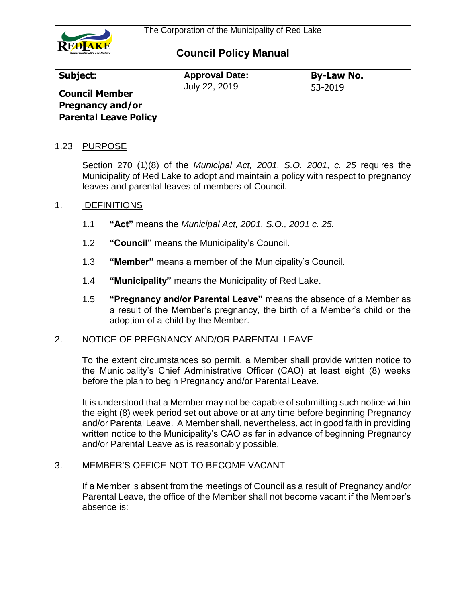

| Subject:                                                                  | <b>Approval Date:</b> | <b>By-Law No.</b> |
|---------------------------------------------------------------------------|-----------------------|-------------------|
| <b>Council Member</b><br>Pregnancy and/or<br><b>Parental Leave Policy</b> | July 22, 2019         | 53-2019           |

### 1.23 PURPOSE

Section 270 (1)(8) of the *Municipal Act, 2001, S.O. 2001, c. 25* requires the Municipality of Red Lake to adopt and maintain a policy with respect to pregnancy leaves and parental leaves of members of Council.

### 1. DEFINITIONS

- 1.1 **"Act"** means the *Municipal Act, 2001, S.O., 2001 c. 25.*
- 1.2 **"Council"** means the Municipality's Council.
- 1.3 **"Member"** means a member of the Municipality's Council.
- 1.4 **"Municipality"** means the Municipality of Red Lake.
- 1.5 **"Pregnancy and/or Parental Leave"** means the absence of a Member as a result of the Member's pregnancy, the birth of a Member's child or the adoption of a child by the Member.

### 2. NOTICE OF PREGNANCY AND/OR PARENTAL LEAVE

To the extent circumstances so permit, a Member shall provide written notice to the Municipality's Chief Administrative Officer (CAO) at least eight (8) weeks before the plan to begin Pregnancy and/or Parental Leave.

It is understood that a Member may not be capable of submitting such notice within the eight (8) week period set out above or at any time before beginning Pregnancy and/or Parental Leave. A Member shall, nevertheless, act in good faith in providing written notice to the Municipality's CAO as far in advance of beginning Pregnancy and/or Parental Leave as is reasonably possible.

### 3. MEMBER'S OFFICE NOT TO BECOME VACANT

If a Member is absent from the meetings of Council as a result of Pregnancy and/or Parental Leave, the office of the Member shall not become vacant if the Member's absence is: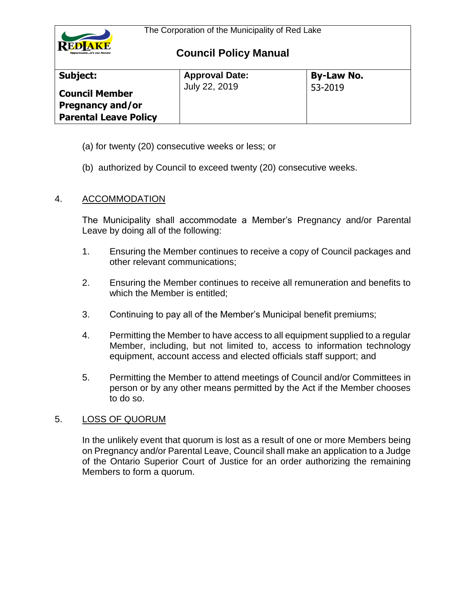

| Subject:                                                                         | <b>Approval Date:</b> | <b>By-Law No.</b> |
|----------------------------------------------------------------------------------|-----------------------|-------------------|
| <b>Council Member</b><br><b>Pregnancy and/or</b><br><b>Parental Leave Policy</b> | July 22, 2019         | 53-2019           |

- (a) for twenty (20) consecutive weeks or less; or
- (b) authorized by Council to exceed twenty (20) consecutive weeks.

### 4. ACCOMMODATION

The Municipality shall accommodate a Member's Pregnancy and/or Parental Leave by doing all of the following:

- 1. Ensuring the Member continues to receive a copy of Council packages and other relevant communications;
- 2. Ensuring the Member continues to receive all remuneration and benefits to which the Member is entitled;
- 3. Continuing to pay all of the Member's Municipal benefit premiums;
- 4. Permitting the Member to have access to all equipment supplied to a regular Member, including, but not limited to, access to information technology equipment, account access and elected officials staff support; and
- 5. Permitting the Member to attend meetings of Council and/or Committees in person or by any other means permitted by the Act if the Member chooses to do so.

### 5. LOSS OF QUORUM

In the unlikely event that quorum is lost as a result of one or more Members being on Pregnancy and/or Parental Leave, Council shall make an application to a Judge of the Ontario Superior Court of Justice for an order authorizing the remaining Members to form a quorum.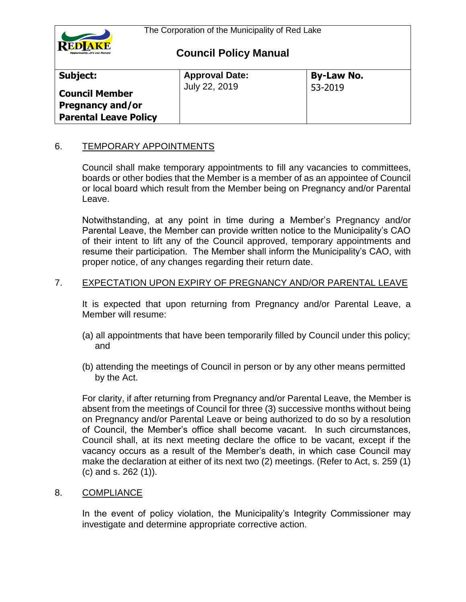

| Subject:                                                                  | <b>Approval Date:</b> | <b>By-Law No.</b> |
|---------------------------------------------------------------------------|-----------------------|-------------------|
| <b>Council Member</b><br>Pregnancy and/or<br><b>Parental Leave Policy</b> | July 22, 2019         | 53-2019           |

## 6. TEMPORARY APPOINTMENTS

Council shall make temporary appointments to fill any vacancies to committees, boards or other bodies that the Member is a member of as an appointee of Council or local board which result from the Member being on Pregnancy and/or Parental Leave.

Notwithstanding, at any point in time during a Member's Pregnancy and/or Parental Leave, the Member can provide written notice to the Municipality's CAO of their intent to lift any of the Council approved, temporary appointments and resume their participation. The Member shall inform the Municipality's CAO, with proper notice, of any changes regarding their return date.

## 7. EXPECTATION UPON EXPIRY OF PREGNANCY AND/OR PARENTAL LEAVE

It is expected that upon returning from Pregnancy and/or Parental Leave, a Member will resume:

- (a) all appointments that have been temporarily filled by Council under this policy; and
- (b) attending the meetings of Council in person or by any other means permitted by the Act.

For clarity, if after returning from Pregnancy and/or Parental Leave, the Member is absent from the meetings of Council for three (3) successive months without being on Pregnancy and/or Parental Leave or being authorized to do so by a resolution of Council, the Member's office shall become vacant. In such circumstances, Council shall, at its next meeting declare the office to be vacant, except if the vacancy occurs as a result of the Member's death, in which case Council may make the declaration at either of its next two (2) meetings. (Refer to Act, s. 259 (1) (c) and s. 262 (1)).

### 8. COMPLIANCE

In the event of policy violation, the Municipality's Integrity Commissioner may investigate and determine appropriate corrective action.